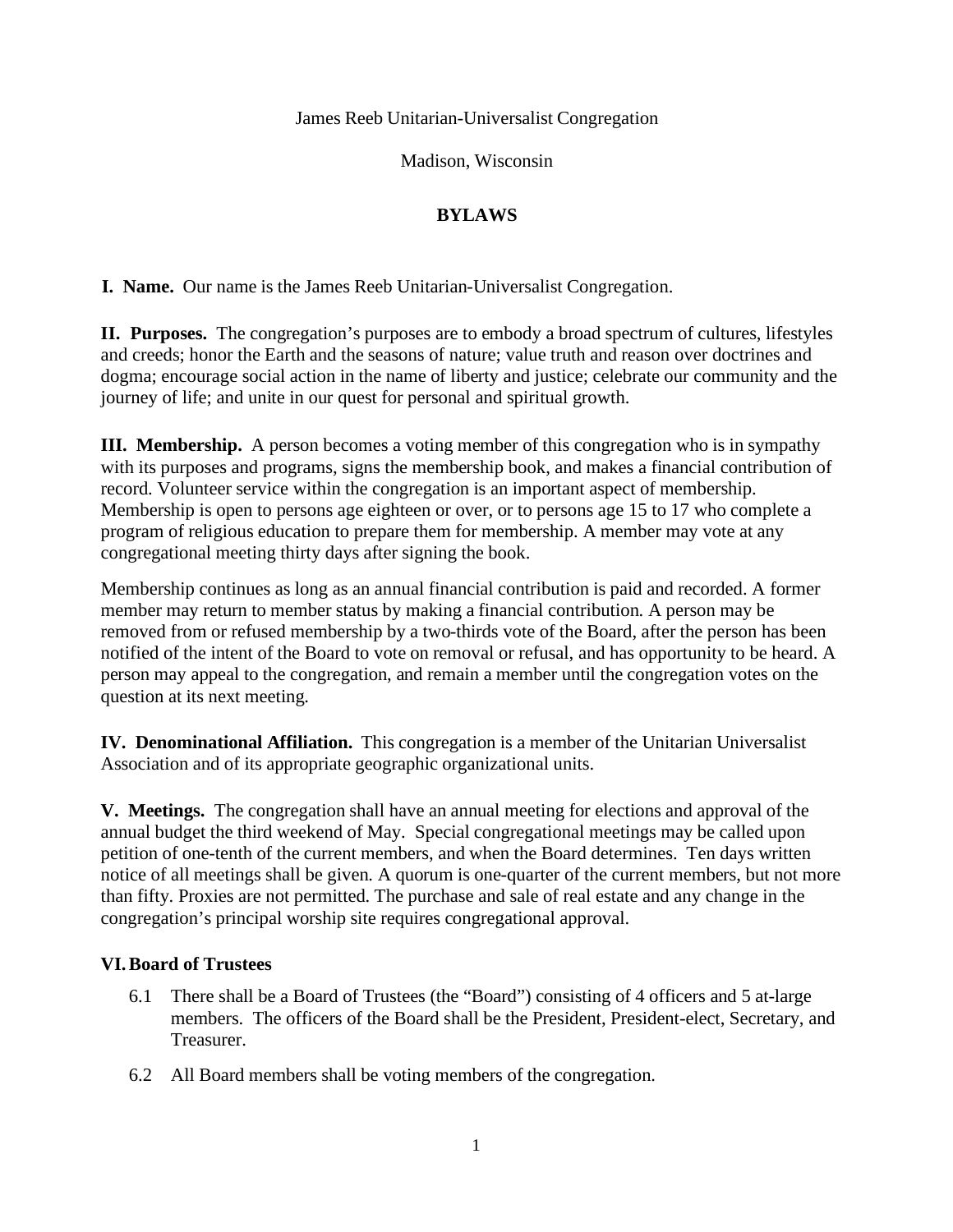James Reeb Unitarian-Universalist Congregation

Madison, Wisconsin

## **BYLAWS**

**I. Name.** Our name is the James Reeb Unitarian-Universalist Congregation.

**II. Purposes.** The congregation's purposes are to embody a broad spectrum of cultures, lifestyles and creeds; honor the Earth and the seasons of nature; value truth and reason over doctrines and dogma; encourage social action in the name of liberty and justice; celebrate our community and the journey of life; and unite in our quest for personal and spiritual growth.

**III. Membership.** A person becomes a voting member of this congregation who is in sympathy with its purposes and programs, signs the membership book, and makes a financial contribution of record. Volunteer service within the congregation is an important aspect of membership. Membership is open to persons age eighteen or over, or to persons age 15 to 17 who complete a program of religious education to prepare them for membership. A member may vote at any congregational meeting thirty days after signing the book.

Membership continues as long as an annual financial contribution is paid and recorded. A former member may return to member status by making a financial contribution. A person may be removed from or refused membership by a two-thirds vote of the Board, after the person has been notified of the intent of the Board to vote on removal or refusal, and has opportunity to be heard. A person may appeal to the congregation, and remain a member until the congregation votes on the question at its next meeting.

**IV. Denominational Affiliation.** This congregation is a member of the Unitarian Universalist Association and of its appropriate geographic organizational units.

**V. Meetings.** The congregation shall have an annual meeting for elections and approval of the annual budget the third weekend of May. Special congregational meetings may be called upon petition of one-tenth of the current members, and when the Board determines. Ten days written notice of all meetings shall be given. A quorum is one-quarter of the current members, but not more than fifty. Proxies are not permitted. The purchase and sale of real estate and any change in the congregation's principal worship site requires congregational approval.

## **VI.Board of Trustees**

- 6.1 There shall be a Board of Trustees (the "Board") consisting of 4 officers and 5 at-large members. The officers of the Board shall be the President, President-elect, Secretary, and Treasurer.
- 6.2 All Board members shall be voting members of the congregation.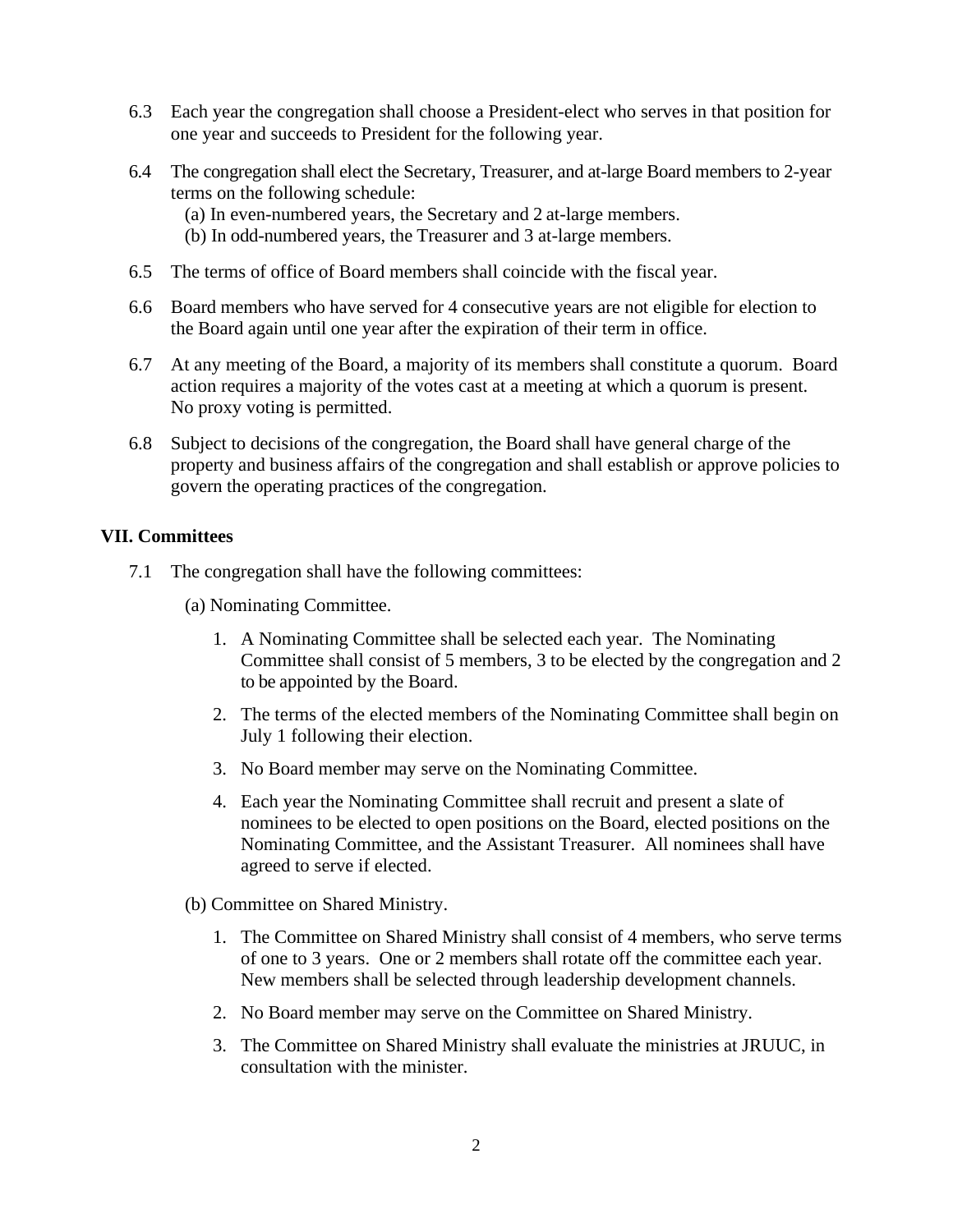- 6.3 Each year the congregation shall choose a President-elect who serves in that position for one year and succeeds to President for the following year.
- 6.4 The congregation shall elect the Secretary, Treasurer, and at-large Board members to 2-year terms on the following schedule:
	- (a) In even-numbered years, the Secretary and 2 at-large members.
	- (b) In odd-numbered years, the Treasurer and 3 at-large members.
- 6.5 The terms of office of Board members shall coincide with the fiscal year.
- 6.6 Board members who have served for 4 consecutive years are not eligible for election to the Board again until one year after the expiration of their term in office.
- 6.7 At any meeting of the Board, a majority of its members shall constitute a quorum. Board action requires a majority of the votes cast at a meeting at which a quorum is present. No proxy voting is permitted.
- 6.8 Subject to decisions of the congregation, the Board shall have general charge of the property and business affairs of the congregation and shall establish or approve policies to govern the operating practices of the congregation.

## **VII. Committees**

- 7.1 The congregation shall have the following committees:
	- (a) Nominating Committee.
		- 1. A Nominating Committee shall be selected each year. The Nominating Committee shall consist of 5 members, 3 to be elected by the congregation and 2 to be appointed by the Board.
		- 2. The terms of the elected members of the Nominating Committee shall begin on July 1 following their election.
		- 3. No Board member may serve on the Nominating Committee.
		- 4. Each year the Nominating Committee shall recruit and present a slate of nominees to be elected to open positions on the Board, elected positions on the Nominating Committee, and the Assistant Treasurer. All nominees shall have agreed to serve if elected.
	- (b) Committee on Shared Ministry.
		- 1. The Committee on Shared Ministry shall consist of 4 members, who serve terms of one to 3 years. One or 2 members shall rotate off the committee each year. New members shall be selected through leadership development channels.
		- 2. No Board member may serve on the Committee on Shared Ministry.
		- 3. The Committee on Shared Ministry shall evaluate the ministries at JRUUC, in consultation with the minister.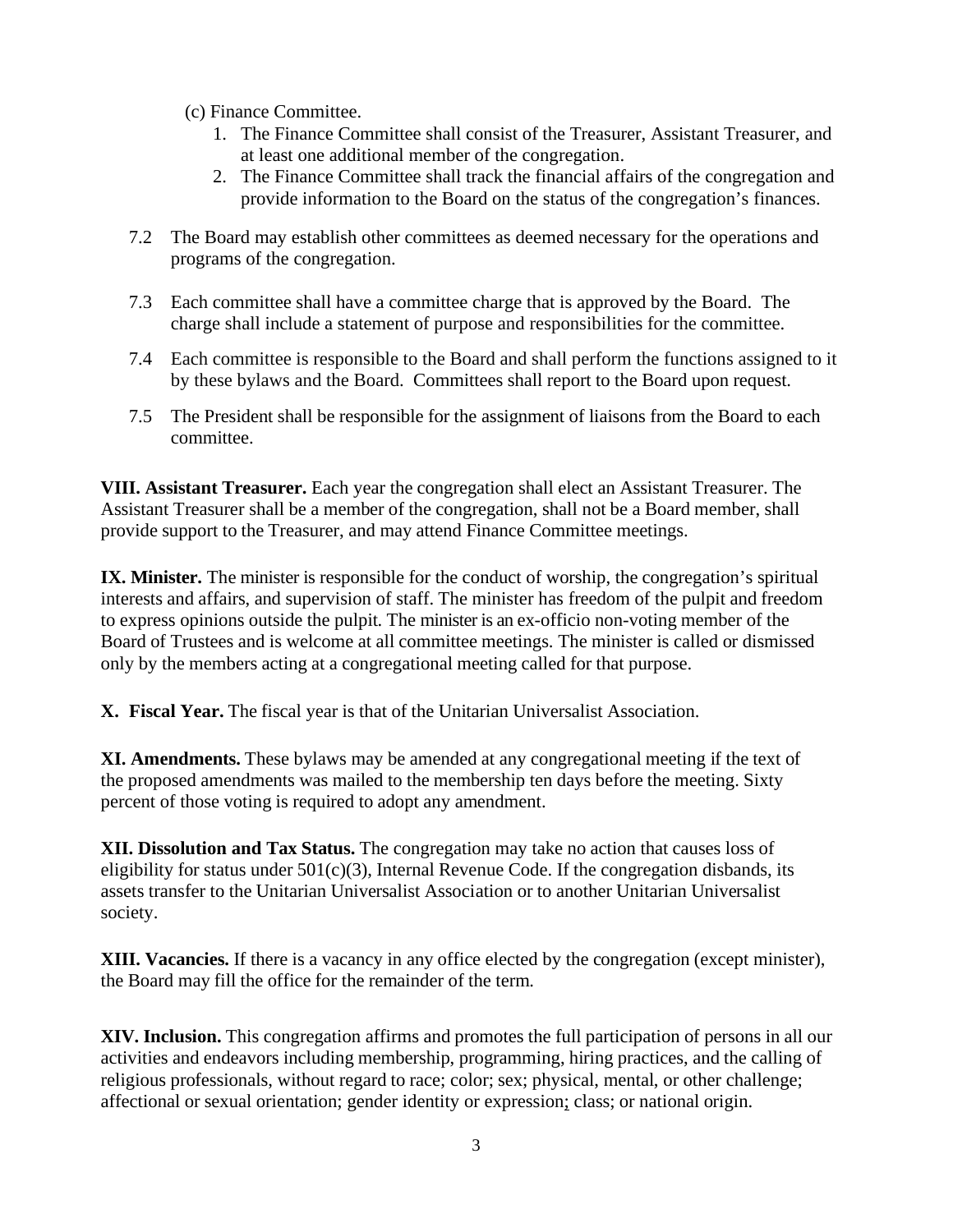- (c) Finance Committee.
	- 1. The Finance Committee shall consist of the Treasurer, Assistant Treasurer, and at least one additional member of the congregation.
	- 2. The Finance Committee shall track the financial affairs of the congregation and provide information to the Board on the status of the congregation's finances.
- 7.2 The Board may establish other committees as deemed necessary for the operations and programs of the congregation.
- 7.3 Each committee shall have a committee charge that is approved by the Board. The charge shall include a statement of purpose and responsibilities for the committee.
- 7.4 Each committee is responsible to the Board and shall perform the functions assigned to it by these bylaws and the Board. Committees shall report to the Board upon request.
- 7.5 The President shall be responsible for the assignment of liaisons from the Board to each committee.

**VIII. Assistant Treasurer.** Each year the congregation shall elect an Assistant Treasurer. The Assistant Treasurer shall be a member of the congregation, shall not be a Board member, shall provide support to the Treasurer, and may attend Finance Committee meetings.

**IX. Minister.** The minister is responsible for the conduct of worship, the congregation's spiritual interests and affairs, and supervision of staff. The minister has freedom of the pulpit and freedom to express opinions outside the pulpit. The minister is an ex-officio non-voting member of the Board of Trustees and is welcome at all committee meetings. The minister is called or dismissed only by the members acting at a congregational meeting called for that purpose.

**X. Fiscal Year.** The fiscal year is that of the Unitarian Universalist Association.

**XI. Amendments.** These bylaws may be amended at any congregational meeting if the text of the proposed amendments was mailed to the membership ten days before the meeting. Sixty percent of those voting is required to adopt any amendment.

**XII. Dissolution and Tax Status.** The congregation may take no action that causes loss of eligibility for status under  $501(c)(3)$ , Internal Revenue Code. If the congregation disbands, its assets transfer to the Unitarian Universalist Association or to another Unitarian Universalist society.

**XIII. Vacancies.** If there is a vacancy in any office elected by the congregation (except minister), the Board may fill the office for the remainder of the term.

**XIV. Inclusion.** This congregation affirms and promotes the full participation of persons in all our activities and endeavors including membership, programming, hiring practices, and the calling of religious professionals, without regard to race; color; sex; physical, mental, or other challenge; affectional or sexual orientation; gender identity or expression; class; or national origin.